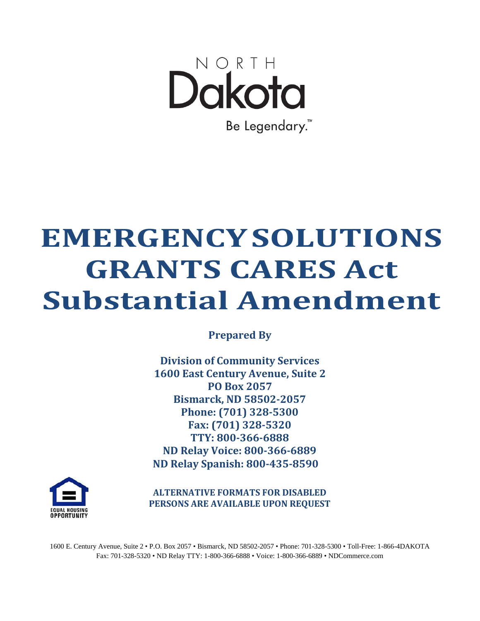

# **EMERGENCYSOLUTIONS GRANTS CARES Act Substantial Amendment**

**Prepared By**

**Division of Community Services 1600 East Century Avenue, Suite 2 PO Box 2057 Bismarck, ND 58502-2057 Phone: (701) 328-5300 Fax: (701) 328-5320 TTY: 800-366-6888 ND Relay Voice: 800-366-6889 ND Relay Spanish: 800-435-8590**



**ALTERNATIVE FORMATS FOR DISABLED PERSONS ARE AVAILABLE UPON REQUEST**

1600 E. Century Avenue, Suite 2 • P.O. Box 2057 • Bismarck, ND 58502-2057 • Phone: 701-328-5300 • Toll-Free: 1-866-4DAKOTA Fax: 701-328-5320 • ND Relay TTY: 1-800-366-6888 • Voice: 1-800-366-6889 • NDCommerce.com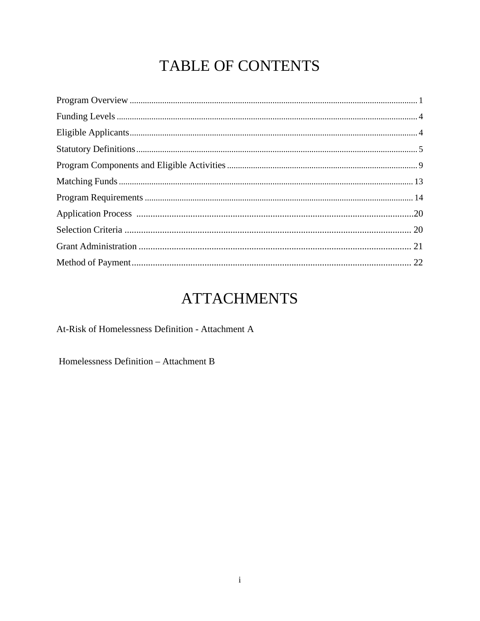# TABLE OF CONTENTS

# **ATTACHMENTS**

At-Risk of Homelessness Definition - Attachment A

Homelessness Definition - Attachment B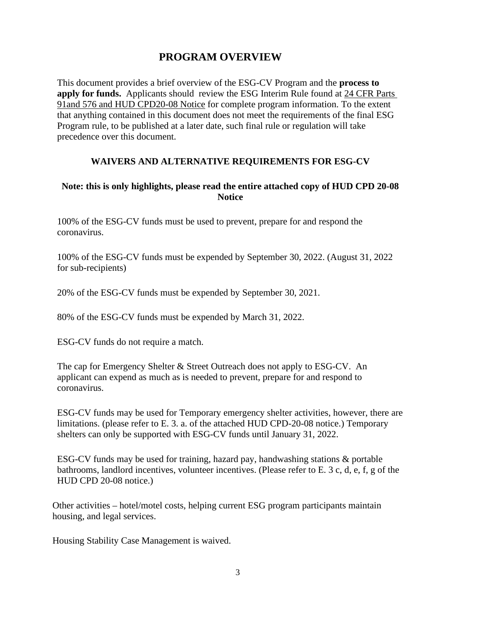# **PROGRAM OVERVIEW**

<span id="page-2-0"></span>This document provides a brief overview of the ESG-CV Program and the **process to apply for funds.** Applicants should review the ESG Interim Rule found at [24 CFR Parts](http://www.hudhre.info/documents/HEARTH_ESGInterimRule%26ConPlanConformingAmendments.pdf)  [91and 576](http://www.hudhre.info/documents/HEARTH_ESGInterimRule%26ConPlanConformingAmendments.pdf) and HUD CPD20-08 Notice for complete program information. To the extent that anything contained in this document does not meet the requirements of the final ESG Program rule, to be published at a later date, such final rule or regulation will take precedence over this document.

#### **WAIVERS AND ALTERNATIVE REQUIREMENTS FOR ESG-CV**

#### **Note: this is only highlights, please read the entire attached copy of HUD CPD 20-08 Notice**

100% of the ESG-CV funds must be used to prevent, prepare for and respond the coronavirus.

100% of the ESG-CV funds must be expended by September 30, 2022. (August 31, 2022 for sub-recipients)

20% of the ESG-CV funds must be expended by September 30, 2021.

80% of the ESG-CV funds must be expended by March 31, 2022.

ESG-CV funds do not require a match.

The cap for Emergency Shelter & Street Outreach does not apply to ESG-CV. An applicant can expend as much as is needed to prevent, prepare for and respond to coronavirus.

ESG-CV funds may be used for Temporary emergency shelter activities, however, there are limitations. (please refer to E. 3. a. of the attached HUD CPD-20-08 notice.) Temporary shelters can only be supported with ESG-CV funds until January 31, 2022.

ESG-CV funds may be used for training, hazard pay, handwashing stations & portable bathrooms, landlord incentives, volunteer incentives. (Please refer to E. 3 c, d, e, f, g of the HUD CPD 20-08 notice.)

Other activities – hotel/motel costs, helping current ESG program participants maintain housing, and legal services.

Housing Stability Case Management is waived.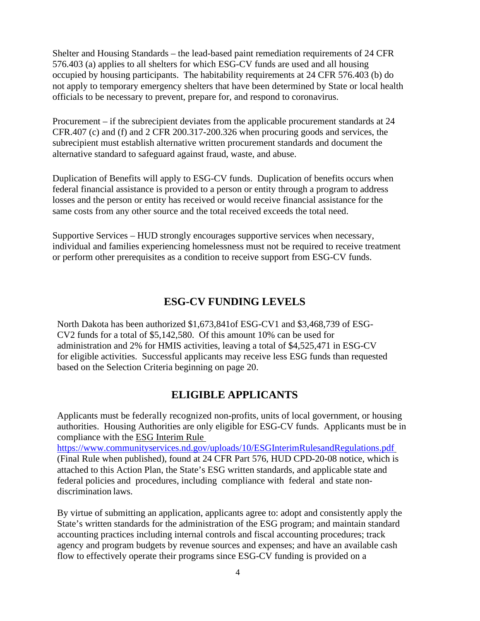Shelter and Housing Standards – the lead-based paint remediation requirements of 24 CFR 576.403 (a) applies to all shelters for which ESG-CV funds are used and all housing occupied by housing participants. The habitability requirements at 24 CFR 576.403 (b) do not apply to temporary emergency shelters that have been determined by State or local health officials to be necessary to prevent, prepare for, and respond to coronavirus.

Procurement – if the subrecipient deviates from the applicable procurement standards at 24 CFR.407 (c) and (f) and 2 CFR 200.317-200.326 when procuring goods and services, the subrecipient must establish alternative written procurement standards and document the alternative standard to safeguard against fraud, waste, and abuse.

Duplication of Benefits will apply to ESG-CV funds. Duplication of benefits occurs when federal financial assistance is provided to a person or entity through a program to address losses and the person or entity has received or would receive financial assistance for the same costs from any other source and the total received exceeds the total need.

Supportive Services – HUD strongly encourages supportive services when necessary, individual and families experiencing homelessness must not be required to receive treatment or perform other prerequisites as a condition to receive support from ESG-CV funds.

### **ESG-CV FUNDING LEVELS**

North Dakota has been authorized \$1,673,841of ESG-CV1 and \$3,468,739 of ESG-CV2 funds for a total of \$5,142,580. Of this amount 10% can be used for administration and 2% for HMIS activities, leaving a total of \$4,525,471 in ESG-CV for eligible activities. Successful applicants may receive less ESG funds than requested based on the Selection Criteria beginning on page 20.

#### **ELIGIBLE APPLICANTS**

<span id="page-3-0"></span>Applicants must be federally recognized non-profits, units of local government, or housing authorities. Housing Authorities are only eligible for ESG-CV funds. Applicants must be in compliance with the [ESG Interim Rule](http://www.hudhre.info/documents/HEARTH_ESGInterimRule%26ConPlanConformingAmendments.pdf) 

<https://www.communityservices.nd.gov/uploads/10/ESGInterimRulesandRegulations.pdf> (Final Rule when published), found at 24 CFR Part 576, HUD CPD-20-08 notice, which is attached to this Action Plan, the State's ESG written standards, and applicable state and federal policies and procedures, including compliance with federal and state nondiscrimination laws.

By virtue of submitting an application, applicants agree to: adopt and consistently apply the State's written standards for the administration of the ESG program; and maintain standard accounting practices including internal controls and fiscal accounting procedures; track agency and program budgets by revenue sources and expenses; and have an available cash flow to effectively operate their programs since ESG-CV funding is provided on a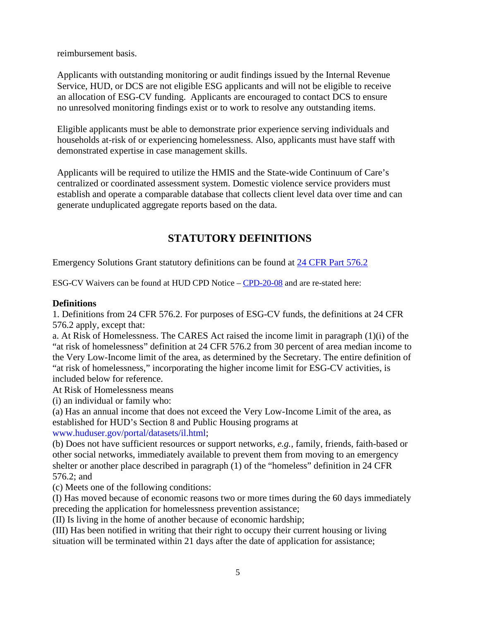reimbursement basis.

Applicants with outstanding monitoring or audit findings issued by the Internal Revenue Service, HUD, or DCS are not eligible ESG applicants and will not be eligible to receive an allocation of ESG-CV funding. Applicants are encouraged to contact DCS to ensure no unresolved monitoring findings exist or to work to resolve any outstanding items.

Eligible applicants must be able to demonstrate prior experience serving individuals and households at-risk of or experiencing homelessness. Also, applicants must have staff with demonstrated expertise in case management skills.

Applicants will be required to utilize the HMIS and the State-wide Continuum of Care's centralized or coordinated assessment system. Domestic violence service providers must establish and operate a comparable database that collects client level data over time and can generate unduplicated aggregate reports based on the data.

# **STATUTORY DEFINITIONS**

<span id="page-4-0"></span>Emergency Solutions Grant statutory definitions can be found at [24 CFR Part 576.2](http://ecfr.gpoaccess.gov/cgi/t/text/text-idx?c=ecfr&rgn=div5&view=text&node=24%3A3.1.1.3.8&idno=24&24%3A3.1.1.3.8.1.1.2)

ESG-CV Waivers can be found at HUD CPD Notice – [CPD-20-08](https://www.hud.gov/sites/dfiles/OCHCO/documents/20-08cpdn.pdf) and are re-stated here:

#### **Definitions**

1. Definitions from 24 CFR 576.2. For purposes of ESG-CV funds, the definitions at 24 CFR 576.2 apply, except that:

a. At Risk of Homelessness. The CARES Act raised the income limit in paragraph (1)(i) of the "at risk of homelessness" definition at 24 CFR 576.2 from 30 percent of area median income to the Very Low-Income limit of the area, as determined by the Secretary. The entire definition of "at risk of homelessness," incorporating the higher income limit for ESG-CV activities, is included below for reference.

At Risk of Homelessness means

(i) an individual or family who:

(a) Has an annual income that does not exceed the Very Low-Income Limit of the area, as established for HUD's Section 8 and Public Housing programs at

www.huduser.gov/portal/datasets/il.html;

(b) Does not have sufficient resources or support networks, *e.g.,* family, friends, faith-based or other social networks, immediately available to prevent them from moving to an emergency shelter or another place described in paragraph (1) of the "homeless" definition in 24 CFR 576.2; and

(c) Meets one of the following conditions:

(I) Has moved because of economic reasons two or more times during the 60 days immediately preceding the application for homelessness prevention assistance;

(II) Is living in the home of another because of economic hardship;

(III) Has been notified in writing that their right to occupy their current housing or living situation will be terminated within 21 days after the date of application for assistance;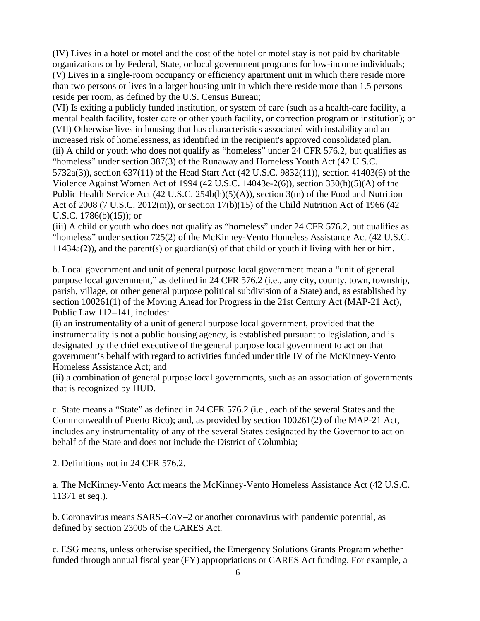(IV) Lives in a hotel or motel and the cost of the hotel or motel stay is not paid by charitable organizations or by Federal, State, or local government programs for low-income individuals; (V) Lives in a single-room occupancy or efficiency apartment unit in which there reside more than two persons or lives in a larger housing unit in which there reside more than 1.5 persons reside per room, as defined by the U.S. Census Bureau;

(VI) Is exiting a publicly funded institution, or system of care (such as a health-care facility, a mental health facility, foster care or other youth facility, or correction program or institution); or (VII) Otherwise lives in housing that has characteristics associated with instability and an increased risk of homelessness, as identified in the recipient's approved consolidated plan. (ii) A child or youth who does not qualify as "homeless" under 24 CFR 576.2, but qualifies as "homeless" under section 387(3) of the Runaway and Homeless Youth Act (42 U.S.C. 5732a(3)), section 637(11) of the Head Start Act (42 U.S.C. 9832(11)), section 41403(6) of the Violence Against Women Act of 1994 (42 U.S.C. 14043e-2(6)), section 330(h)(5)(A) of the Public Health Service Act (42 U.S.C. 254b(h)(5)(A)), section 3(m) of the Food and Nutrition Act of 2008 (7 U.S.C. 2012(m)), or section 17(b)(15) of the Child Nutrition Act of 1966 (42 U.S.C. 1786(b)(15)); or

(iii) A child or youth who does not qualify as "homeless" under 24 CFR 576.2, but qualifies as "homeless" under section 725(2) of the McKinney-Vento Homeless Assistance Act (42 U.S.C. 11434a(2)), and the parent(s) or guardian(s) of that child or youth if living with her or him.

b. Local government and unit of general purpose local government mean a "unit of general purpose local government," as defined in 24 CFR 576.2 (i.e., any city, county, town, township, parish, village, or other general purpose political subdivision of a State) and, as established by section 100261(1) of the Moving Ahead for Progress in the 21st Century Act (MAP-21 Act), Public Law 112–141, includes:

(i) an instrumentality of a unit of general purpose local government, provided that the instrumentality is not a public housing agency, is established pursuant to legislation, and is designated by the chief executive of the general purpose local government to act on that government's behalf with regard to activities funded under title IV of the McKinney-Vento Homeless Assistance Act; and

(ii) a combination of general purpose local governments, such as an association of governments that is recognized by HUD.

c. State means a "State" as defined in 24 CFR 576.2 (i.e., each of the several States and the Commonwealth of Puerto Rico); and, as provided by section 100261(2) of the MAP-21 Act, includes any instrumentality of any of the several States designated by the Governor to act on behalf of the State and does not include the District of Columbia;

2. Definitions not in 24 CFR 576.2.

a. The McKinney-Vento Act means the McKinney-Vento Homeless Assistance Act (42 U.S.C. 11371 et seq.).

b. Coronavirus means SARS–CoV–2 or another coronavirus with pandemic potential, as defined by section 23005 of the CARES Act.

c. ESG means, unless otherwise specified, the Emergency Solutions Grants Program whether funded through annual fiscal year (FY) appropriations or CARES Act funding. For example, a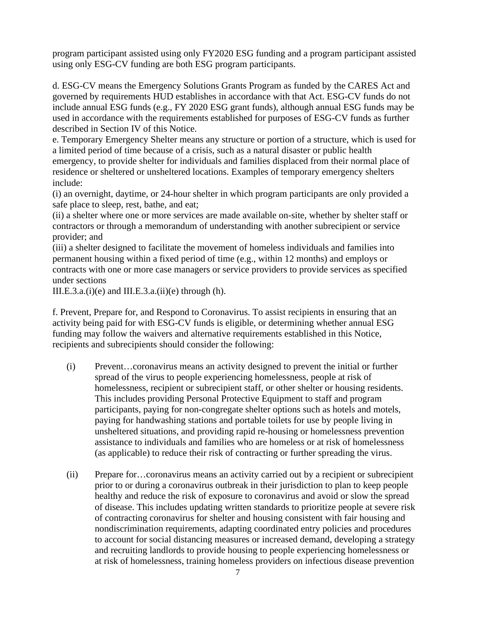program participant assisted using only FY2020 ESG funding and a program participant assisted using only ESG-CV funding are both ESG program participants.

d. ESG-CV means the Emergency Solutions Grants Program as funded by the CARES Act and governed by requirements HUD establishes in accordance with that Act. ESG-CV funds do not include annual ESG funds (e.g., FY 2020 ESG grant funds), although annual ESG funds may be used in accordance with the requirements established for purposes of ESG-CV funds as further described in Section IV of this Notice.

e. Temporary Emergency Shelter means any structure or portion of a structure, which is used for a limited period of time because of a crisis, such as a natural disaster or public health emergency, to provide shelter for individuals and families displaced from their normal place of residence or sheltered or unsheltered locations. Examples of temporary emergency shelters include:

(i) an overnight, daytime, or 24-hour shelter in which program participants are only provided a safe place to sleep, rest, bathe, and eat;

(ii) a shelter where one or more services are made available on-site, whether by shelter staff or contractors or through a memorandum of understanding with another subrecipient or service provider; and

(iii) a shelter designed to facilitate the movement of homeless individuals and families into permanent housing within a fixed period of time (e.g., within 12 months) and employs or contracts with one or more case managers or service providers to provide services as specified under sections

III.E.3.a. $(i)(e)$  and III.E.3.a. $(ii)(e)$  through  $(h)$ .

f. Prevent, Prepare for, and Respond to Coronavirus. To assist recipients in ensuring that an activity being paid for with ESG-CV funds is eligible, or determining whether annual ESG funding may follow the waivers and alternative requirements established in this Notice, recipients and subrecipients should consider the following:

- (i) Prevent…coronavirus means an activity designed to prevent the initial or further spread of the virus to people experiencing homelessness, people at risk of homelessness, recipient or subrecipient staff, or other shelter or housing residents. This includes providing Personal Protective Equipment to staff and program participants, paying for non-congregate shelter options such as hotels and motels, paying for handwashing stations and portable toilets for use by people living in unsheltered situations, and providing rapid re-housing or homelessness prevention assistance to individuals and families who are homeless or at risk of homelessness (as applicable) to reduce their risk of contracting or further spreading the virus.
- (ii) Prepare for…coronavirus means an activity carried out by a recipient or subrecipient prior to or during a coronavirus outbreak in their jurisdiction to plan to keep people healthy and reduce the risk of exposure to coronavirus and avoid or slow the spread of disease. This includes updating written standards to prioritize people at severe risk of contracting coronavirus for shelter and housing consistent with fair housing and nondiscrimination requirements, adapting coordinated entry policies and procedures to account for social distancing measures or increased demand, developing a strategy and recruiting landlords to provide housing to people experiencing homelessness or at risk of homelessness, training homeless providers on infectious disease prevention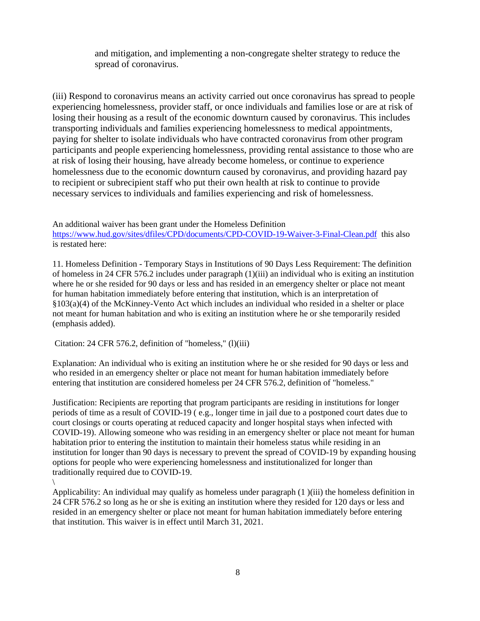and mitigation, and implementing a non-congregate shelter strategy to reduce the spread of coronavirus.

(iii) Respond to coronavirus means an activity carried out once coronavirus has spread to people experiencing homelessness, provider staff, or once individuals and families lose or are at risk of losing their housing as a result of the economic downturn caused by coronavirus. This includes transporting individuals and families experiencing homelessness to medical appointments, paying for shelter to isolate individuals who have contracted coronavirus from other program participants and people experiencing homelessness, providing rental assistance to those who are at risk of losing their housing, have already become homeless, or continue to experience homelessness due to the economic downturn caused by coronavirus, and providing hazard pay to recipient or subrecipient staff who put their own health at risk to continue to provide necessary services to individuals and families experiencing and risk of homelessness.

An additional waiver has been grant under the Homeless Definition <https://www.hud.gov/sites/dfiles/CPD/documents/CPD-COVID-19-Waiver-3-Final-Clean.pdf>this also is restated here:

11. Homeless Definition - Temporary Stays in Institutions of 90 Days Less Requirement: The definition of homeless in 24 CFR 576.2 includes under paragraph (1)(iii) an individual who is exiting an institution where he or she resided for 90 days or less and has resided in an emergency shelter or place not meant for human habitation immediately before entering that institution, which is an interpretation of §103(a)(4) of the McKinney-Vento Act which includes an individual who resided in a shelter or place not meant for human habitation and who is exiting an institution where he or she temporarily resided (emphasis added).

Citation: 24 CFR 576.2, definition of "homeless," (l)(iii)

Explanation: An individual who is exiting an institution where he or she resided for 90 days or less and who resided in an emergency shelter or place not meant for human habitation immediately before entering that institution are considered homeless per 24 CFR 576.2, definition of "homeless."

Justification: Recipients are reporting that program participants are residing in institutions for longer periods of time as a result of COVID-19 ( e.g., longer time in jail due to a postponed court dates due to court closings or courts operating at reduced capacity and longer hospital stays when infected with COVID-19). Allowing someone who was residing in an emergency shelter or place not meant for human habitation prior to entering the institution to maintain their homeless status while residing in an institution for longer than 90 days is necessary to prevent the spread of COVID-19 by expanding housing options for people who were experiencing homelessness and institutionalized for longer than traditionally required due to COVID-19.

Applicability: An individual may qualify as homeless under paragraph (1 )(iii) the homeless definition in 24 CFR 576.2 so long as he or she is exiting an institution where they resided for 120 days or less and resided in an emergency shelter or place not meant for human habitation immediately before entering that institution. This waiver is in effect until March 31, 2021.

<sup>\</sup>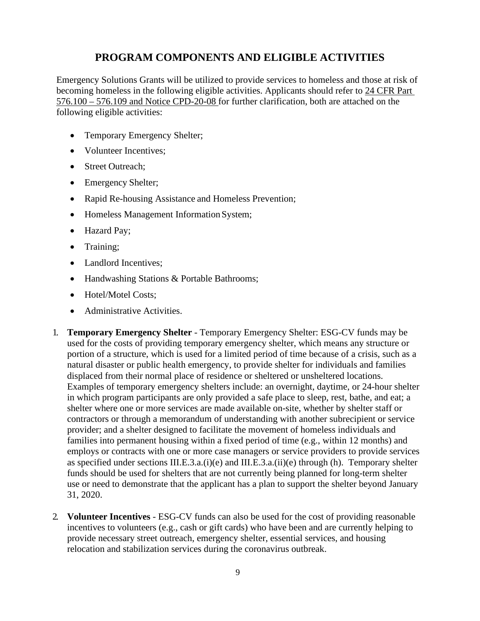# **PROGRAM COMPONENTS AND ELIGIBLE ACTIVITIES**

<span id="page-8-0"></span>Emergency Solutions Grants will be utilized to provide services to homeless and those at risk of becoming homeless in the following eligible activities. Applicants should refer to [24 CFR Part](http://ecfr.gpoaccess.gov/cgi/t/text/text-idx?c=ecfr&sid=08ce31c6bd5dc97ee5768789f1ca09d0&rgn=div6&view=text&node=24%3A3.1.1.3.8.2&idno=24) [576.100 –](http://ecfr.gpoaccess.gov/cgi/t/text/text-idx?c=ecfr&sid=08ce31c6bd5dc97ee5768789f1ca09d0&rgn=div6&view=text&node=24%3A3.1.1.3.8.2&idno=24) 576.109 and Notice CPD-20-08 for further clarification, both are attached on the following eligible activities:

- Temporary Emergency Shelter;
- Volunteer Incentives:
- Street Outreach:
- Emergency Shelter;
- Rapid Re-housing Assistance and Homeless Prevention;
- Homeless Management Information System;
- Hazard Pay;
- Training;
- Landlord Incentives:
- Handwashing Stations & Portable Bathrooms;
- Hotel/Motel Costs;
- Administrative Activities.
- 1. **Temporary Emergency Shelter** Temporary Emergency Shelter: ESG-CV funds may be used for the costs of providing temporary emergency shelter, which means any structure or portion of a structure, which is used for a limited period of time because of a crisis, such as a natural disaster or public health emergency, to provide shelter for individuals and families displaced from their normal place of residence or sheltered or unsheltered locations. Examples of temporary emergency shelters include: an overnight, daytime, or 24-hour shelter in which program participants are only provided a safe place to sleep, rest, bathe, and eat; a shelter where one or more services are made available on-site, whether by shelter staff or contractors or through a memorandum of understanding with another subrecipient or service provider; and a shelter designed to facilitate the movement of homeless individuals and families into permanent housing within a fixed period of time (e.g., within 12 months) and employs or contracts with one or more case managers or service providers to provide services as specified under sections III.E.3.a. $(i)(e)$  and III.E.3.a. $(ii)(e)$  through (h). Temporary shelter funds should be used for shelters that are not currently being planned for long-term shelter use or need to demonstrate that the applicant has a plan to support the shelter beyond January 31, 2020.
- 2. **Volunteer Incentives** ESG-CV funds can also be used for the cost of providing reasonable incentives to volunteers (e.g., cash or gift cards) who have been and are currently helping to provide necessary street outreach, emergency shelter, essential services, and housing relocation and stabilization services during the coronavirus outbreak.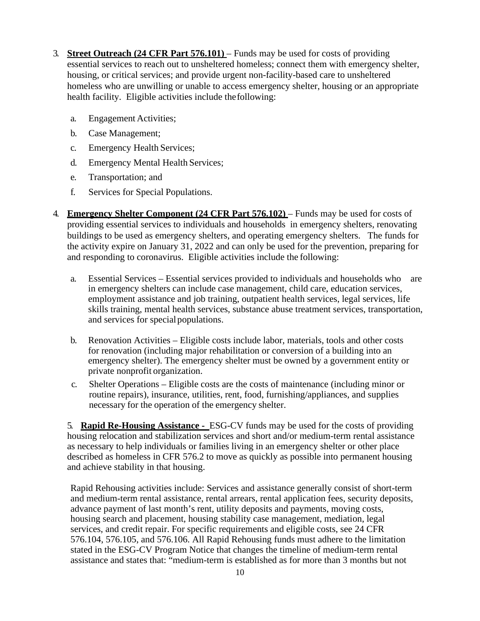- 3. **Street Outreach [\(24 CFR Part 576.101\)](http://ecfr.gpoaccess.gov/cgi/t/text/text-idx?c=ecfr&sid=08ce31c6bd5dc97ee5768789f1ca09d0&rgn=div6&view=text&node=24%3A3.1.1.3.8.2&idno=24)**  Funds may be used for costs of providing essential services to reach out to unsheltered homeless; connect them with emergency shelter, housing, or critical services; and provide urgent non-facility-based care to unsheltered homeless who are unwilling or unable to access emergency shelter, housing or an appropriate health facility. Eligible activities include thefollowing:
	- a. Engagement Activities;
	- b. Case Management;
	- c. Emergency Health Services;
	- d. Emergency Mental Health Services;
	- e. Transportation; and
	- f. Services for Special Populations.
- 4. **Emergency Shelter Component [\(24 CFR Part 576.102\)](http://ecfr.gpoaccess.gov/cgi/t/text/text-idx?c=ecfr&sid=08ce31c6bd5dc97ee5768789f1ca09d0&rgn=div6&view=text&node=24%3A3.1.1.3.8.2&idno=24)**  Funds may be used for costs of providing essential services to individuals and households in emergency shelters, renovating buildings to be used as emergency shelters, and operating emergency shelters. The funds for the activity expire on January 31, 2022 and can only be used for the prevention, preparing for and responding to coronavirus. Eligible activities include the following:
	- a. Essential Services Essential services provided to individuals and households who are in emergency shelters can include case management, child care, education services, employment assistance and job training, outpatient health services, legal services, life skills training, mental health services, substance abuse treatment services, transportation, and services for specialpopulations.
	- b. Renovation Activities Eligible costs include labor, materials, tools and other costs for renovation (including major rehabilitation or conversion of a building into an emergency shelter). The emergency shelter must be owned by a government entity or private nonprofit organization.
	- c. Shelter Operations Eligible costs are the costs of maintenance (including minor or routine repairs), insurance, utilities, rent, food, furnishing/appliances, and supplies necessary for the operation of the emergency shelter.

5. **Rapid Re-Housing Assistance -** ESG-CV funds may be used for the costs of providing housing relocation and stabilization services and short and/or medium-term rental assistance as necessary to help individuals or families living in an emergency shelter or other place described as homeless in CFR 576.2 to move as quickly as possible into permanent housing and achieve stability in that housing.

Rapid Rehousing activities include: Services and assistance generally consist of short-term and medium-term rental assistance, rental arrears, rental application fees, security deposits, advance payment of last month's rent, utility deposits and payments, moving costs, housing search and placement, housing stability case management, mediation, legal services, and credit repair. For specific requirements and eligible costs, see 24 CFR 576.104, 576.105, and 576.106. All Rapid Rehousing funds must adhere to the limitation stated in the ESG-CV Program Notice that changes the timeline of medium-term rental assistance and states that: "medium-term is established as for more than 3 months but not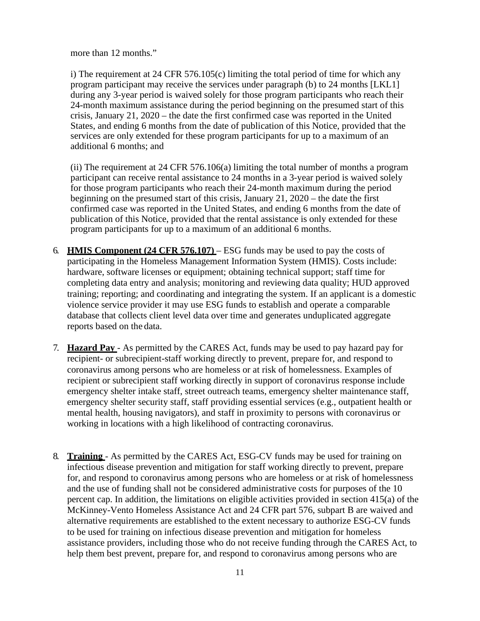more than 12 months."

i) The requirement at 24 CFR 576.105(c) limiting the total period of time for which any program participant may receive the services under paragraph (b) to 24 months [LKL1] during any 3-year period is waived solely for those program participants who reach their 24-month maximum assistance during the period beginning on the presumed start of this crisis, January 21, 2020 – the date the first confirmed case was reported in the United States, and ending 6 months from the date of publication of this Notice, provided that the services are only extended for these program participants for up to a maximum of an additional 6 months; and

 (ii) The requirement at 24 CFR 576.106(a) limiting the total number of months a program participant can receive rental assistance to 24 months in a 3-year period is waived solely for those program participants who reach their 24-month maximum during the period beginning on the presumed start of this crisis, January 21, 2020 – the date the first confirmed case was reported in the United States, and ending 6 months from the date of publication of this Notice, provided that the rental assistance is only extended for these program participants for up to a maximum of an additional 6 months.

- 6. **HMIS Component [\(24 CFR 576.107\)](http://ecfr.gpoaccess.gov/cgi/t/text/text-idx?c=ecfr&sid=08ce31c6bd5dc97ee5768789f1ca09d0&rgn=div6&view=text&node=24%3A3.1.1.3.8.2&idno=24)**  ESG funds may be used to pay the costs of participating in the Homeless Management Information System (HMIS). Costs include: hardware, software licenses or equipment; obtaining technical support; staff time for completing data entry and analysis; monitoring and reviewing data quality; HUD approved training; reporting; and coordinating and integrating the system. If an applicant is a domestic violence service provider it may use ESG funds to establish and operate a comparable database that collects client level data over time and generates unduplicated aggregate reports based on the data.
- 7. **Hazard Pay**  As permitted by the CARES Act, funds may be used to pay hazard pay for recipient- or subrecipient-staff working directly to prevent, prepare for, and respond to coronavirus among persons who are homeless or at risk of homelessness. Examples of recipient or subrecipient staff working directly in support of coronavirus response include emergency shelter intake staff, street outreach teams, emergency shelter maintenance staff, emergency shelter security staff, staff providing essential services (e.g., outpatient health or mental health, housing navigators), and staff in proximity to persons with coronavirus or working in locations with a high likelihood of contracting coronavirus.
- 8. **Training**  As permitted by the CARES Act, ESG-CV funds may be used for training on infectious disease prevention and mitigation for staff working directly to prevent, prepare for, and respond to coronavirus among persons who are homeless or at risk of homelessness and the use of funding shall not be considered administrative costs for purposes of the 10 percent cap. In addition, the limitations on eligible activities provided in section 415(a) of the McKinney-Vento Homeless Assistance Act and 24 CFR part 576, subpart B are waived and alternative requirements are established to the extent necessary to authorize ESG-CV funds to be used for training on infectious disease prevention and mitigation for homeless assistance providers, including those who do not receive funding through the CARES Act, to help them best prevent, prepare for, and respond to coronavirus among persons who are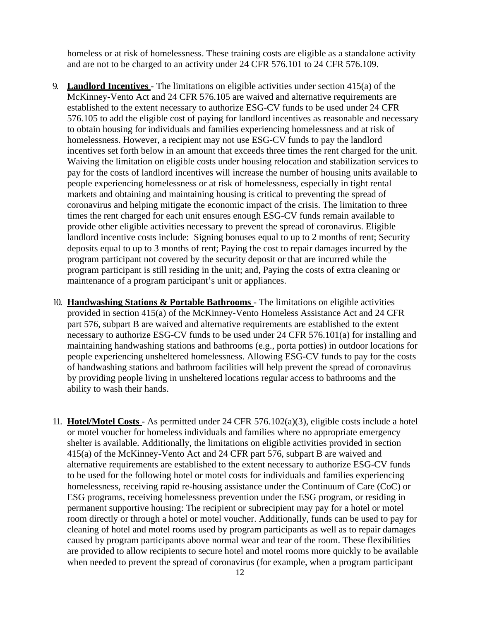homeless or at risk of homelessness. These training costs are eligible as a standalone activity and are not to be charged to an activity under 24 CFR 576.101 to 24 CFR 576.109.

- 9. **Landlord Incentives**  The limitations on eligible activities under section 415(a) of the McKinney-Vento Act and 24 CFR 576.105 are waived and alternative requirements are established to the extent necessary to authorize ESG-CV funds to be used under 24 CFR 576.105 to add the eligible cost of paying for landlord incentives as reasonable and necessary to obtain housing for individuals and families experiencing homelessness and at risk of homelessness. However, a recipient may not use ESG-CV funds to pay the landlord incentives set forth below in an amount that exceeds three times the rent charged for the unit. Waiving the limitation on eligible costs under housing relocation and stabilization services to pay for the costs of landlord incentives will increase the number of housing units available to people experiencing homelessness or at risk of homelessness, especially in tight rental markets and obtaining and maintaining housing is critical to preventing the spread of coronavirus and helping mitigate the economic impact of the crisis. The limitation to three times the rent charged for each unit ensures enough ESG-CV funds remain available to provide other eligible activities necessary to prevent the spread of coronavirus. Eligible landlord incentive costs include: Signing bonuses equal to up to 2 months of rent; Security deposits equal to up to 3 months of rent; Paying the cost to repair damages incurred by the program participant not covered by the security deposit or that are incurred while the program participant is still residing in the unit; and, Paying the costs of extra cleaning or maintenance of a program participant's unit or appliances.
- 10. **Handwashing Stations & Portable Bathrooms**  The limitations on eligible activities provided in section 415(a) of the McKinney-Vento Homeless Assistance Act and 24 CFR part 576, subpart B are waived and alternative requirements are established to the extent necessary to authorize ESG-CV funds to be used under 24 CFR 576.101(a) for installing and maintaining handwashing stations and bathrooms (e.g., porta potties) in outdoor locations for people experiencing unsheltered homelessness. Allowing ESG-CV funds to pay for the costs of handwashing stations and bathroom facilities will help prevent the spread of coronavirus by providing people living in unsheltered locations regular access to bathrooms and the ability to wash their hands.
- 11. **Hotel/Motel Costs**  As permitted under 24 CFR 576.102(a)(3), eligible costs include a hotel or motel voucher for homeless individuals and families where no appropriate emergency shelter is available. Additionally, the limitations on eligible activities provided in section 415(a) of the McKinney-Vento Act and 24 CFR part 576, subpart B are waived and alternative requirements are established to the extent necessary to authorize ESG-CV funds to be used for the following hotel or motel costs for individuals and families experiencing homelessness, receiving rapid re-housing assistance under the Continuum of Care (CoC) or ESG programs, receiving homelessness prevention under the ESG program, or residing in permanent supportive housing: The recipient or subrecipient may pay for a hotel or motel room directly or through a hotel or motel voucher. Additionally, funds can be used to pay for cleaning of hotel and motel rooms used by program participants as well as to repair damages caused by program participants above normal wear and tear of the room. These flexibilities are provided to allow recipients to secure hotel and motel rooms more quickly to be available when needed to prevent the spread of coronavirus (for example, when a program participant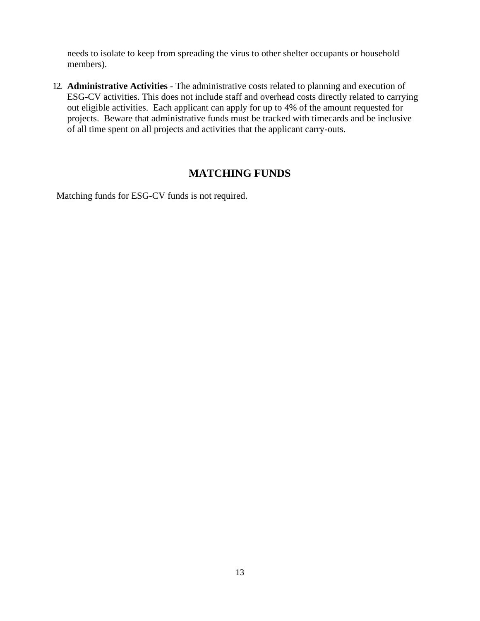needs to isolate to keep from spreading the virus to other shelter occupants or household members).

12. **Administrative Activities** - The administrative costs related to planning and execution of ESG-CV activities. This does not include staff and overhead costs directly related to carrying out eligible activities. Each applicant can apply for up to 4% of the amount requested for projects. Beware that administrative funds must be tracked with timecards and be inclusive of all time spent on all projects and activities that the applicant carry-outs.

# **MATCHING FUNDS**

<span id="page-12-0"></span>Matching funds for ESG-CV funds is not required.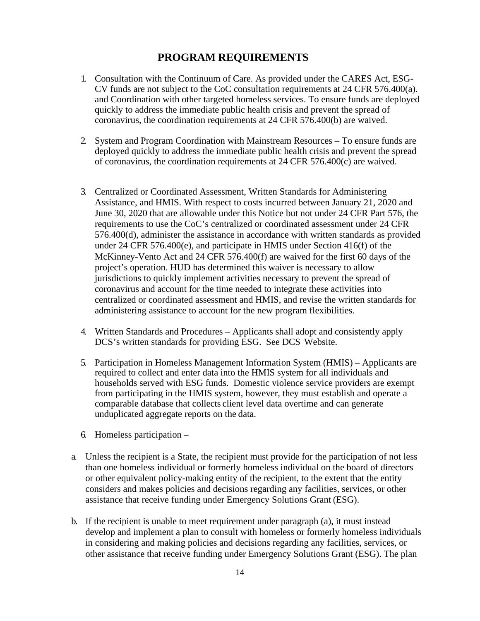# **PROGRAM REQUIREMENTS**

- <span id="page-13-0"></span>1. Consultation with the Continuum of Care. As provided under the CARES Act, ESG-CV funds are not subject to the CoC consultation requirements at 24 CFR 576.400(a). and Coordination with other targeted homeless services. To ensure funds are deployed quickly to address the immediate public health crisis and prevent the spread of coronavirus, the coordination requirements at 24 CFR 576.400(b) are waived.
- 2. System and Program Coordination with Mainstream Resources To ensure funds are deployed quickly to address the immediate public health crisis and prevent the spread of coronavirus, the coordination requirements at 24 CFR 576.400(c) are waived.
- 3. Centralized or Coordinated Assessment, Written Standards for Administering Assistance, and HMIS. With respect to costs incurred between January 21, 2020 and June 30, 2020 that are allowable under this Notice but not under 24 CFR Part 576, the requirements to use the CoC's centralized or coordinated assessment under 24 CFR 576.400(d), administer the assistance in accordance with written standards as provided under 24 CFR 576.400(e), and participate in HMIS under Section 416(f) of the McKinney-Vento Act and 24 CFR 576.400(f) are waived for the first 60 days of the project's operation. HUD has determined this waiver is necessary to allow jurisdictions to quickly implement activities necessary to prevent the spread of coronavirus and account for the time needed to integrate these activities into centralized or coordinated assessment and HMIS, and revise the written standards for administering assistance to account for the new program flexibilities.
- 4. Written Standards and Procedures Applicants shall adopt and consistently apply DCS's written standards for providing ESG. See DCS Website.
- 5. Participation in Homeless Management Information System (HMIS) Applicants are required to collect and enter data into the HMIS system for all individuals and households served with ESG funds. Domestic violence service providers are exempt from participating in the HMIS system, however, they must establish and operate a comparable database that collects client level data overtime and can generate unduplicated aggregate reports on the data.
- 6. Homeless participation –
- a. Unless the recipient is a State, the recipient must provide for the participation of not less than one homeless individual or formerly homeless individual on the board of directors or other equivalent policy-making entity of the recipient, to the extent that the entity considers and makes policies and decisions regarding any facilities, services, or other assistance that receive funding under Emergency Solutions Grant (ESG).
- b. If the recipient is unable to meet requirement under paragraph (a), it must instead develop and implement a plan to consult with homeless or formerly homeless individuals in considering and making policies and decisions regarding any facilities, services, or other assistance that receive funding under Emergency Solutions Grant (ESG). The plan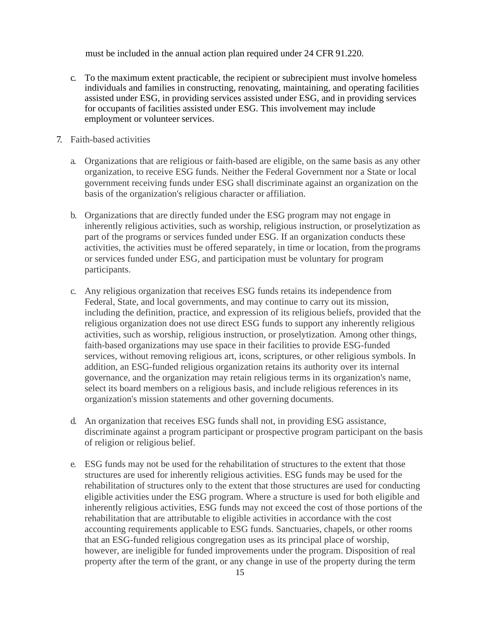must be included in the annual action plan required under 24 CFR 91.220.

- c. To the maximum extent practicable, the recipient or subrecipient must involve homeless individuals and families in constructing, renovating, maintaining, and operating facilities assisted under ESG, in providing services assisted under ESG, and in providing services for occupants of facilities assisted under ESG. This involvement may include employment or volunteer services.
- 7. Faith-based activities
	- a. Organizations that are religious or faith-based are eligible, on the same basis as any other organization, to receive ESG funds. Neither the Federal Government nor a State or local government receiving funds under ESG shall discriminate against an organization on the basis of the organization's religious character or affiliation.
	- b. Organizations that are directly funded under the ESG program may not engage in inherently religious activities, such as worship, religious instruction, or proselytization as part of the programs or services funded under ESG. If an organization conducts these activities, the activities must be offered separately, in time or location, from the programs or services funded under ESG, and participation must be voluntary for program participants.
	- c. Any religious organization that receives ESG funds retains its independence from Federal, State, and local governments, and may continue to carry out its mission, including the definition, practice, and expression of its religious beliefs, provided that the religious organization does not use direct ESG funds to support any inherently religious activities, such as worship, religious instruction, or proselytization. Among other things, faith-based organizations may use space in their facilities to provide ESG-funded services, without removing religious art, icons, scriptures, or other religious symbols. In addition, an ESG-funded religious organization retains its authority over its internal governance, and the organization may retain religious terms in its organization's name, select its board members on a religious basis, and include religious references in its organization's mission statements and other governing documents.
	- d. An organization that receives ESG funds shall not, in providing ESG assistance, discriminate against a program participant or prospective program participant on the basis of religion or religious belief.
	- e. ESG funds may not be used for the rehabilitation of structures to the extent that those structures are used for inherently religious activities. ESG funds may be used for the rehabilitation of structures only to the extent that those structures are used for conducting eligible activities under the ESG program. Where a structure is used for both eligible and inherently religious activities, ESG funds may not exceed the cost of those portions of the rehabilitation that are attributable to eligible activities in accordance with the cost accounting requirements applicable to ESG funds. Sanctuaries, chapels, or other rooms that an ESG-funded religious congregation uses as its principal place of worship, however, are ineligible for funded improvements under the program. Disposition of real property after the term of the grant, or any change in use of the property during the term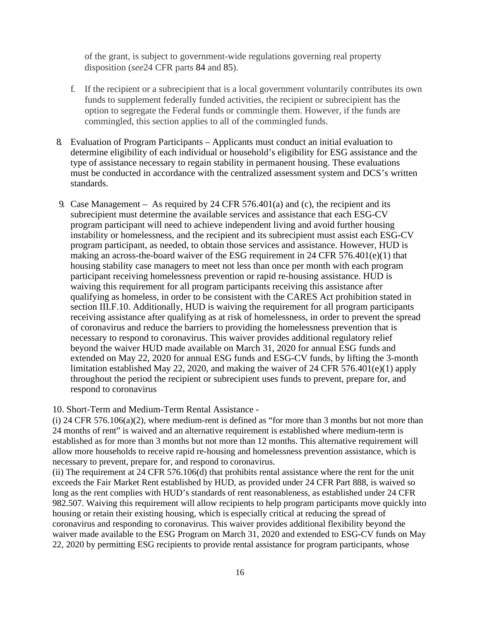of the grant, is subject to government-wide regulations governing real property disposition (*see*24 CFR parts [84](https://www.law.cornell.edu/cfr/text/24/84) and [85\)](https://www.law.cornell.edu/cfr/text/24/85).

- f. If the recipient or a subrecipient that is a local government voluntarily contributes its own funds to supplement federally funded activities, the recipient or subrecipient has the option to segregate the Federal funds or commingle them. However, if the funds are commingled, this section applies to all of the commingled funds.
- 8. Evaluation of Program Participants Applicants must conduct an initial evaluation to determine eligibility of each individual or household's eligibility for ESG assistance and the type of assistance necessary to regain stability in permanent housing. These evaluations must be conducted in accordance with the centralized assessment system and DCS's written standards.
- 9. Case Management As required by 24 CFR 576.401(a) and (c), the recipient and its subrecipient must determine the available services and assistance that each ESG-CV program participant will need to achieve independent living and avoid further housing instability or homelessness, and the recipient and its subrecipient must assist each ESG-CV program participant, as needed, to obtain those services and assistance. However, HUD is making an across-the-board waiver of the ESG requirement in 24 CFR 576.401(e)(1) that housing stability case managers to meet not less than once per month with each program participant receiving homelessness prevention or rapid re-housing assistance. HUD is waiving this requirement for all program participants receiving this assistance after qualifying as homeless, in order to be consistent with the CARES Act prohibition stated in section III.F.10. Additionally, HUD is waiving the requirement for all program participants receiving assistance after qualifying as at risk of homelessness, in order to prevent the spread of coronavirus and reduce the barriers to providing the homelessness prevention that is necessary to respond to coronavirus. This waiver provides additional regulatory relief beyond the waiver HUD made available on March 31, 2020 for annual ESG funds and extended on May 22, 2020 for annual ESG funds and ESG-CV funds, by lifting the 3-month limitation established May 22, 2020, and making the waiver of 24 CFR 576.401(e)(1) apply throughout the period the recipient or subrecipient uses funds to prevent, prepare for, and respond to coronavirus
- 10. Short-Term and Medium-Term Rental Assistance -

(i) 24 CFR 576.106(a)(2), where medium-rent is defined as "for more than 3 months but not more than 24 months of rent" is waived and an alternative requirement is established where medium-term is established as for more than 3 months but not more than 12 months. This alternative requirement will allow more households to receive rapid re-housing and homelessness prevention assistance, which is necessary to prevent, prepare for, and respond to coronavirus.

(ii) The requirement at 24 CFR 576.106(d) that prohibits rental assistance where the rent for the unit exceeds the Fair Market Rent established by HUD, as provided under 24 CFR Part 888, is waived so long as the rent complies with HUD's standards of rent reasonableness, as established under 24 CFR 982.507. Waiving this requirement will allow recipients to help program participants move quickly into housing or retain their existing housing, which is especially critical at reducing the spread of coronavirus and responding to coronavirus. This waiver provides additional flexibility beyond the waiver made available to the ESG Program on March 31, 2020 and extended to ESG-CV funds on May 22, 2020 by permitting ESG recipients to provide rental assistance for program participants, whose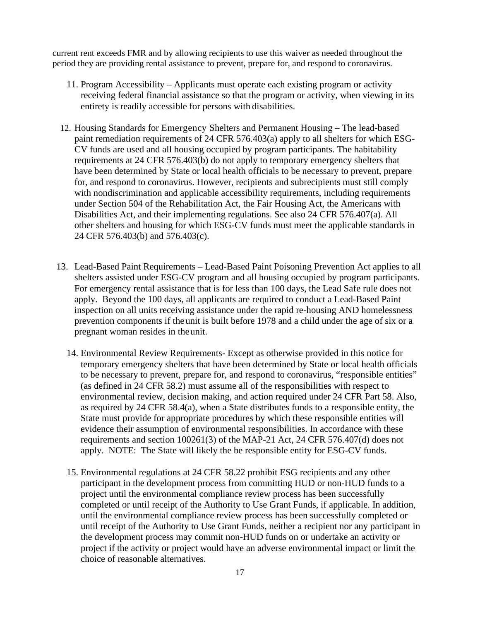current rent exceeds FMR and by allowing recipients to use this waiver as needed throughout the period they are providing rental assistance to prevent, prepare for, and respond to coronavirus.

- 11. Program Accessibility Applicants must operate each existing program or activity receiving federal financial assistance so that the program or activity, when viewing in its entirety is readily accessible for persons with disabilities.
- 12. Housing Standards for Emergency Shelters and Permanent Housing The lead-based paint remediation requirements of 24 CFR 576.403(a) apply to all shelters for which ESG-CV funds are used and all housing occupied by program participants. The habitability requirements at 24 CFR 576.403(b) do not apply to temporary emergency shelters that have been determined by State or local health officials to be necessary to prevent, prepare for, and respond to coronavirus. However, recipients and subrecipients must still comply with nondiscrimination and applicable accessibility requirements, including requirements under Section 504 of the Rehabilitation Act, the Fair Housing Act, the Americans with Disabilities Act, and their implementing regulations. See also 24 CFR 576.407(a). All other shelters and housing for which ESG-CV funds must meet the applicable standards in 24 CFR 576.403(b) and 576.403(c).
- 13. Lead-Based Paint Requirements Lead-Based Paint Poisoning Prevention Act applies to all shelters assisted under ESG-CV program and all housing occupied by program participants. For emergency rental assistance that is for less than 100 days, the Lead Safe rule does not apply. Beyond the 100 days, all applicants are required to conduct a Lead-Based Paint inspection on all units receiving assistance under the rapid re-housing AND homelessness prevention components if the unit is built before 1978 and a child under the age of six or a pregnant woman resides in theunit.
	- 14. Environmental Review Requirements- Except as otherwise provided in this notice for temporary emergency shelters that have been determined by State or local health officials to be necessary to prevent, prepare for, and respond to coronavirus, "responsible entities" (as defined in 24 CFR 58.2) must assume all of the responsibilities with respect to environmental review, decision making, and action required under 24 CFR Part 58. Also, as required by 24 CFR 58.4(a), when a State distributes funds to a responsible entity, the State must provide for appropriate procedures by which these responsible entities will evidence their assumption of environmental responsibilities. In accordance with these requirements and section 100261(3) of the MAP-21 Act, 24 CFR 576.407(d) does not apply. NOTE: The State will likely the be responsible entity for ESG-CV funds.
	- 15. Environmental regulations at 24 CFR 58.22 prohibit ESG recipients and any other participant in the development process from committing HUD or non-HUD funds to a project until the environmental compliance review process has been successfully completed or until receipt of the Authority to Use Grant Funds, if applicable. In addition, until the environmental compliance review process has been successfully completed or until receipt of the Authority to Use Grant Funds, neither a recipient nor any participant in the development process may commit non-HUD funds on or undertake an activity or project if the activity or project would have an adverse environmental impact or limit the choice of reasonable alternatives.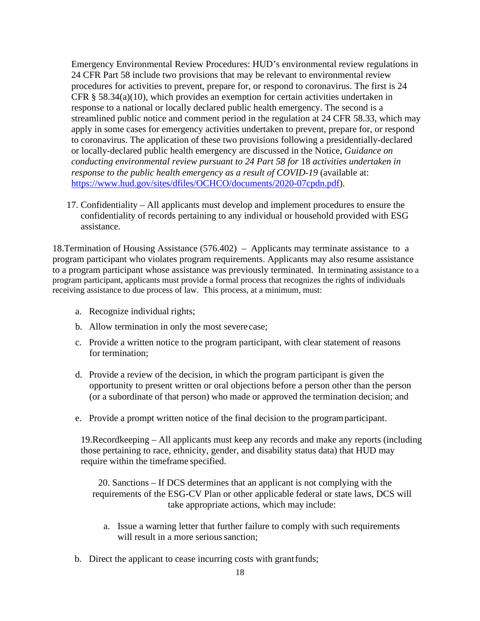Emergency Environmental Review Procedures: HUD's environmental review regulations in 24 CFR Part 58 include two provisions that may be relevant to environmental review procedures for activities to prevent, prepare for, or respond to coronavirus. The first is 24 CFR § 58.34(a)(10), which provides an exemption for certain activities undertaken in response to a national or locally declared public health emergency. The second is a streamlined public notice and comment period in the regulation at 24 CFR 58.33, which may apply in some cases for emergency activities undertaken to prevent, prepare for, or respond to coronavirus. The application of these two provisions following a presidentially-declared or locally-declared public health emergency are discussed in the Notice, *Guidance on conducting environmental review pursuant to 24 Part 58 for* 18 *activities undertaken in response to the public health emergency as a result of COVID-19* (available at: [https://www.hud.gov/sites/dfiles/OCHCO/documents/2020-07cpdn.pdf\)](https://www.hud.gov/sites/dfiles/OCHCO/documents/2020-07cpdn.pdf).

17. Confidentiality – All applicants must develop and implement procedures to ensure the confidentiality of records pertaining to any individual or household provided with ESG assistance.

18.Termination of Housing Assistance (576.402) – Applicants may terminate assistance to a program participant who violates program requirements. Applicants may also resume assistance to a program participant whose assistance was previously terminated. In terminating assistance to a program participant, applicants must provide a formal process that recognizes the rights of individuals receiving assistance to due process of law. This process, at a minimum, must:

- a. Recognize individual rights;
- b. Allow termination in only the most severe case;
- c. Provide a written notice to the program participant, with clear statement of reasons for termination;
- d. Provide a review of the decision, in which the program participant is given the opportunity to present written or oral objections before a person other than the person (or a subordinate of that person) who made or approved the termination decision; and
- e. Provide a prompt written notice of the final decision to the programparticipant.

19.Recordkeeping – All applicants must keep any records and make any reports (including those pertaining to race, ethnicity, gender, and disability status data) that HUD may require within the timeframe specified.

20. Sanctions – If DCS determines that an applicant is not complying with the requirements of the ESG-CV Plan or other applicable federal or state laws, DCS will take appropriate actions, which may include:

- a. Issue a warning letter that further failure to comply with such requirements will result in a more serious sanction:
- b. Direct the applicant to cease incurring costs with grantfunds;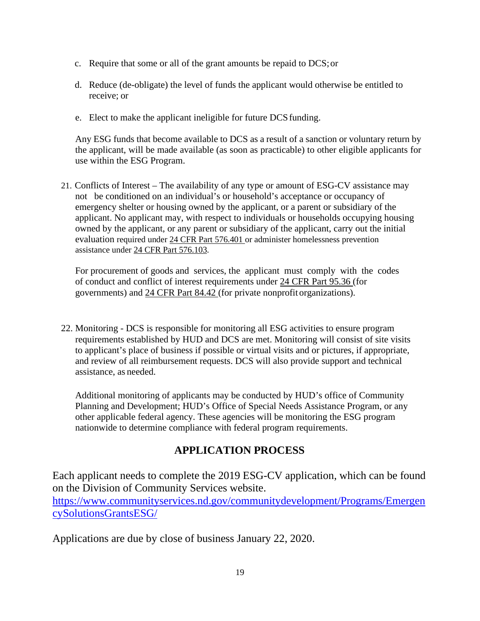- c. Require that some or all of the grant amounts be repaid to DCS;or
- d. Reduce (de-obligate) the level of funds the applicant would otherwise be entitled to receive; or
- e. Elect to make the applicant ineligible for future DCS funding.

Any ESG funds that become available to DCS as a result of a sanction or voluntary return by the applicant, will be made available (as soon as practicable) to other eligible applicants for use within the ESG Program.

21. Conflicts of Interest – The availability of any type or amount of ESG-CV assistance may not be conditioned on an individual's or household's acceptance or occupancy of emergency shelter or housing owned by the applicant, or a parent or subsidiary of the applicant. No applicant may, with respect to individuals or households occupying housing owned by the applicant, or any parent or subsidiary of the applicant, carry out the initial evaluation required under [24 CFR Part 576.401](http://ecfr.gpoaccess.gov/cgi/t/text/text-idx?c=ecfr&sid=71cee5e404896b50cda64cad4ccb48af&rgn=div8&view=text&node=24%3A3.1.1.3.8.5.1.2&idno=24) or administer homelessness prevention assistance under [24 CFR Part 576.103.](http://ecfr.gpoaccess.gov/cgi/t/text/text-idx?c=ecfr&sid=71cee5e404896b50cda64cad4ccb48af&rgn=div8&view=text&node=24%3A3.1.1.3.8.2.1.4&idno=24)

For procurement of goods and services, the applicant must comply with the codes of conduct and conflict of interest requirements under [24 CFR Part 95.36 \(](http://ecfr.gpoaccess.gov/cgi/t/text/text-idx?c=ecfr&sid=e1c6ceafca38cb6427e7335aac88bba3&rgn=div8&view=text&node=29%3A1.1.1.1.40.3.64.16&idno=29)for governments) and [24 CFR Part 84.42 \(](http://ecfr.gpoaccess.gov/cgi/t/text/text-idx?c=ecfr&sid=82a2cb0ff7673d752f5eacfd942e332c&rgn=div8&view=text&node=24%3A1.1.1.1.37.3.78.20&idno=24)for private nonprofit organizations).

22. Monitoring - DCS is responsible for monitoring all ESG activities to ensure program requirements established by HUD and DCS are met. Monitoring will consist of site visits to applicant's place of business if possible or virtual visits and or pictures, if appropriate, and review of all reimbursement requests. DCS will also provide support and technical assistance, as needed.

Additional monitoring of applicants may be conducted by HUD's office of Community Planning and Development; HUD's Office of Special Needs Assistance Program, or any other applicable federal agency. These agencies will be monitoring the ESG program nationwide to determine compliance with federal program requirements.

# **APPLICATION PROCESS**

Each applicant needs to complete the 2019 ESG-CV application, which can be found on the Division of Community Services website. [https://www.communityservices.nd.gov/communitydevelopment/Programs/Emergen](https://www.communityservices.nd.gov/communitydevelopment/Programs/EmergencySolutionsGrantsESG/) [cySolutionsGrantsESG/](https://www.communityservices.nd.gov/communitydevelopment/Programs/EmergencySolutionsGrantsESG/)

Applications are due by close of business January 22, 2020.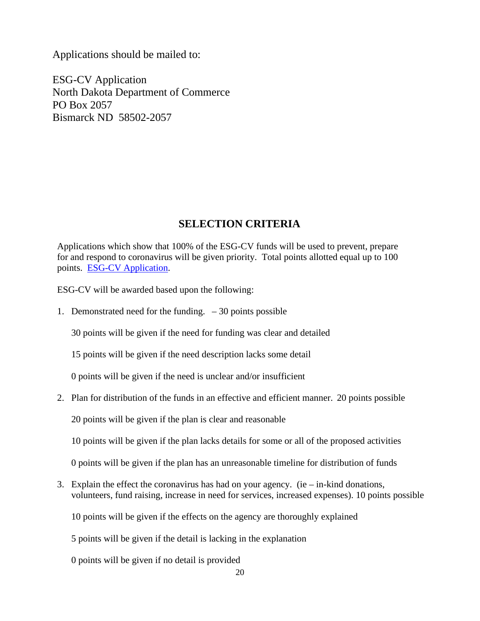Applications should be mailed to:

ESG-CV Application North Dakota Department of Commerce PO Box 2057 Bismarck ND 58502-2057

# **SELECTION CRITERIA**

<span id="page-19-0"></span>Applications which show that 100% of the ESG-CV funds will be used to prevent, prepare for and respond to coronavirus will be given priority. Total points allotted equal up to 100 points. [ESG-CV Application.](https://www.communityservices.nd.gov/communitydevelopment/Programs/EmergencySolutionsGrantsESG/)

ESG-CV will be awarded based upon the following:

1. Demonstrated need for the funding.  $-30$  points possible

30 points will be given if the need for funding was clear and detailed

15 points will be given if the need description lacks some detail

0 points will be given if the need is unclear and/or insufficient

2. Plan for distribution of the funds in an effective and efficient manner. 20 points possible

20 points will be given if the plan is clear and reasonable

10 points will be given if the plan lacks details for some or all of the proposed activities

0 points will be given if the plan has an unreasonable timeline for distribution of funds

3. Explain the effect the coronavirus has had on your agency. (ie  $-$  in-kind donations, volunteers, fund raising, increase in need for services, increased expenses). 10 points possible

10 points will be given if the effects on the agency are thoroughly explained

5 points will be given if the detail is lacking in the explanation

0 points will be given if no detail is provided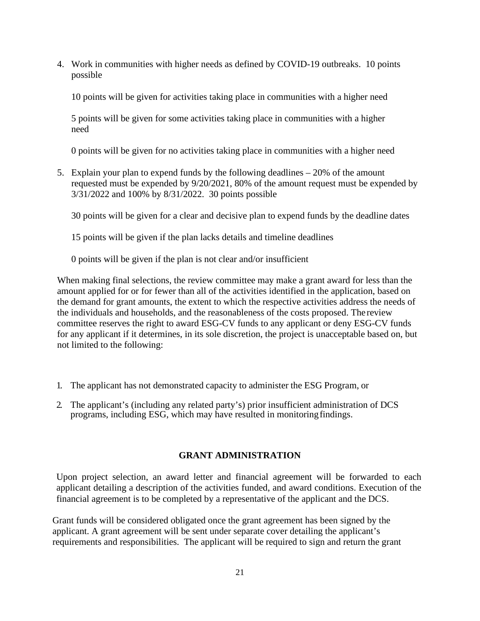4. Work in communities with higher needs as defined by COVID-19 outbreaks. 10 points possible

10 points will be given for activities taking place in communities with a higher need

5 points will be given for some activities taking place in communities with a higher need

0 points will be given for no activities taking place in communities with a higher need

5. Explain your plan to expend funds by the following deadlines – 20% of the amount requested must be expended by 9/20/2021, 80% of the amount request must be expended by 3/31/2022 and 100% by 8/31/2022. 30 points possible

30 points will be given for a clear and decisive plan to expend funds by the deadline dates

15 points will be given if the plan lacks details and timeline deadlines

0 points will be given if the plan is not clear and/or insufficient

When making final selections, the review committee may make a grant award for less than the amount applied for or for fewer than all of the activities identified in the application, based on the demand for grant amounts, the extent to which the respective activities address the needs of the individuals and households, and the reasonableness of the costs proposed. The review committee reserves the right to award ESG-CV funds to any applicant or deny ESG-CV funds for any applicant if it determines, in its sole discretion, the project is unacceptable based on, but not limited to the following:

- 1. The applicant has not demonstrated capacity to administer the ESG Program, or
- 2. The applicant's (including any related party's) prior insufficient administration of DCS programs, including ESG, which may have resulted in monitoringfindings.

#### **GRANT ADMINISTRATION**

<span id="page-20-0"></span>Upon project selection, an award letter and financial agreement will be forwarded to each applicant detailing a description of the activities funded, and award conditions. Execution of the financial agreement is to be completed by a representative of the applicant and the DCS.

Grant funds will be considered obligated once the grant agreement has been signed by the applicant. A grant agreement will be sent under separate cover detailing the applicant's requirements and responsibilities. The applicant will be required to sign and return the grant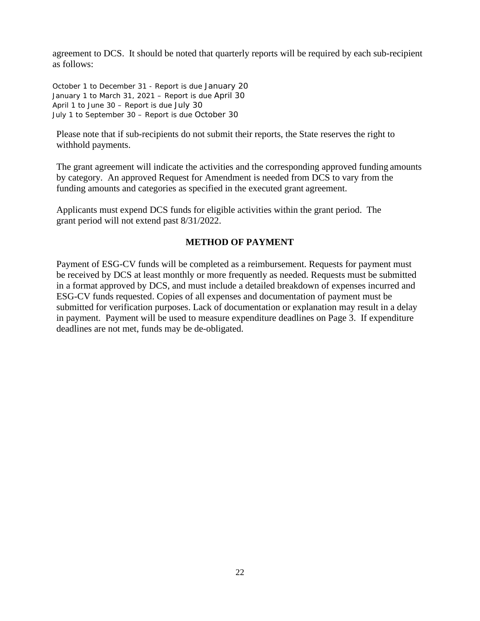agreement to DCS. It should be noted that quarterly reports will be required by each sub-recipient as follows:

October 1 to December 31 - Report is due January 20 January 1 to March 31, 2021 – Report is due April 30 April 1 to June 30 – Report is due July 30 July 1 to September 30 – Report is due October 30

Please note that if sub-recipients do not submit their reports, the State reserves the right to withhold payments.

The grant agreement will indicate the activities and the corresponding approved funding amounts by category. An approved Request for Amendment is needed from DCS to vary from the funding amounts and categories as specified in the executed grant agreement.

Applicants must expend DCS funds for eligible activities within the grant period. The grant period will not extend past 8/31/2022.

#### **METHOD OF PAYMENT**

<span id="page-21-0"></span>Payment of ESG-CV funds will be completed as a reimbursement. Requests for payment must be received by DCS at least monthly or more frequently as needed. Requests must be submitted in a format approved by DCS, and must include a detailed breakdown of expenses incurred and ESG-CV funds requested. Copies of all expenses and documentation of payment must be submitted for verification purposes. Lack of documentation or explanation may result in a delay in payment. Payment will be used to measure expenditure deadlines on Page 3. If expenditure deadlines are not met, funds may be de-obligated.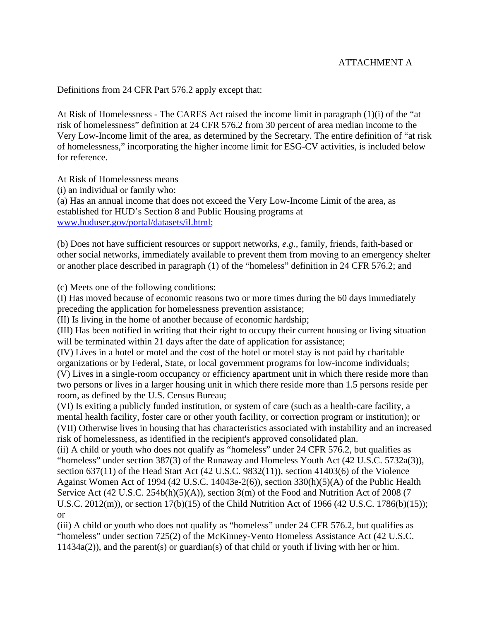#### ATTACHMENT A

Definitions from 24 CFR Part 576.2 apply except that:

At Risk of Homelessness - The CARES Act raised the income limit in paragraph (1)(i) of the "at risk of homelessness" definition at 24 CFR 576.2 from 30 percent of area median income to the Very Low-Income limit of the area, as determined by the Secretary. The entire definition of "at risk of homelessness," incorporating the higher income limit for ESG-CV activities, is included below for reference.

At Risk of Homelessness means

(i) an individual or family who:

(a) Has an annual income that does not exceed the Very Low-Income Limit of the area, as established for HUD's Section 8 and Public Housing programs at [www.huduser.gov/portal/datasets/il.html;](http://www.huduser.gov/portal/datasets/il.html)

(b) Does not have sufficient resources or support networks, *e.g.,* family, friends, faith-based or other social networks, immediately available to prevent them from moving to an emergency shelter or another place described in paragraph (1) of the "homeless" definition in 24 CFR 576.2; and

(c) Meets one of the following conditions:

(I) Has moved because of economic reasons two or more times during the 60 days immediately preceding the application for homelessness prevention assistance;

(II) Is living in the home of another because of economic hardship;

(III) Has been notified in writing that their right to occupy their current housing or living situation will be terminated within 21 days after the date of application for assistance:

(IV) Lives in a hotel or motel and the cost of the hotel or motel stay is not paid by charitable organizations or by Federal, State, or local government programs for low-income individuals; (V) Lives in a single-room occupancy or efficiency apartment unit in which there reside more than two persons or lives in a larger housing unit in which there reside more than 1.5 persons reside per room, as defined by the U.S. Census Bureau;

(VI) Is exiting a publicly funded institution, or system of care (such as a health-care facility, a mental health facility, foster care or other youth facility, or correction program or institution); or (VII) Otherwise lives in housing that has characteristics associated with instability and an increased risk of homelessness, as identified in the recipient's approved consolidated plan.

(ii) A child or youth who does not qualify as "homeless" under 24 CFR 576.2, but qualifies as "homeless" under section 387(3) of the Runaway and Homeless Youth Act (42 U.S.C. 5732a(3)), section 637(11) of the Head Start Act (42 U.S.C. 9832(11)), section 41403(6) of the Violence Against Women Act of 1994 (42 U.S.C. 14043e-2(6)), section 330(h)(5)(A) of the Public Health

Service Act (42 U.S.C. 254b(h)(5)(A)), section 3(m) of the Food and Nutrition Act of 2008 (7 U.S.C. 2012(m)), or section 17(b)(15) of the Child Nutrition Act of 1966 (42 U.S.C. 1786(b)(15)); or

(iii) A child or youth who does not qualify as "homeless" under 24 CFR 576.2, but qualifies as "homeless" under section 725(2) of the McKinney-Vento Homeless Assistance Act (42 U.S.C. 11434a(2)), and the parent(s) or guardian(s) of that child or youth if living with her or him.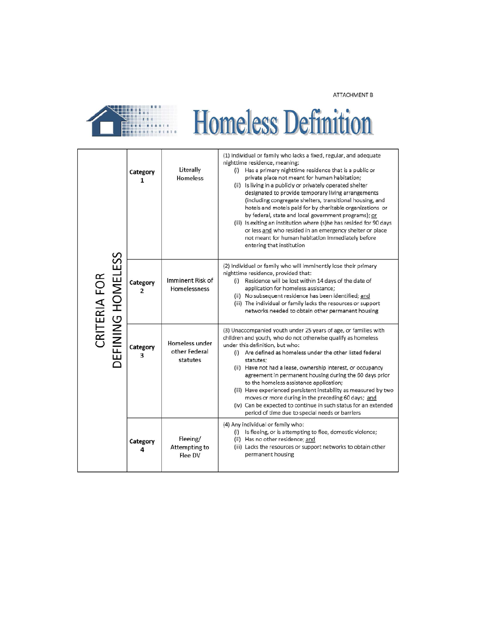ATTACHMENT B

| <b>Homeless Definition</b>        |               |                                             |                                                                                                                                                                                                                                                                                                                                                                                                                                                                                                                                                                                                                                                                                                                                               |  |  |  |
|-----------------------------------|---------------|---------------------------------------------|-----------------------------------------------------------------------------------------------------------------------------------------------------------------------------------------------------------------------------------------------------------------------------------------------------------------------------------------------------------------------------------------------------------------------------------------------------------------------------------------------------------------------------------------------------------------------------------------------------------------------------------------------------------------------------------------------------------------------------------------------|--|--|--|
| CRITERIA FOR<br>DEFINING HOMELESS | Category<br>1 | Literally<br>Homeless                       | (1) Individual or family who lacks a fixed, regular, and adequate<br>nighttime residence, meaning:<br>(i) Has a primary nighttime residence that is a public or<br>private place not meant for human habitation:<br>(ii) Is living in a publicly or privately operated shelter<br>designated to provide temporary living arrangements<br>(including congregate shelters, transitional housing, and<br>hotels and motels paid for by charitable organizations or<br>by federal, state and local government programs); or<br>(iii) Is exiting an institution where (s) he has resided for 90 days<br>or less and who resided in an emergency shelter or place<br>not meant for human habitation immediately before<br>entering that institution |  |  |  |
|                                   | Category<br>2 | Imminent Risk of<br>Homelessness            | (2) Individual or family who will imminently lose their primary<br>nighttime residence, provided that:<br>(i) Residence will be lost within 14 days of the date of<br>application for homeless assistance;<br>(ii) No subsequent residence has been identified; and<br>(iii) The individual or family lacks the resources or support<br>networks needed to obtain other permanent housing                                                                                                                                                                                                                                                                                                                                                     |  |  |  |
|                                   | Category<br>з | Homeless under<br>other Federal<br>statutes | (3) Unaccompanied youth under 25 years of age, or families with<br>children and youth, who do not otherwise qualify as homeless<br>under this definition, but who:<br>(i) Are defined as homeless under the other listed federal<br>statutes:<br>(ii) Have not had a lease, ownership interest, or occupancy<br>agreement in permanent housing during the 60 days prior<br>to the homeless assistance application;<br>(iii) Have experienced persistent instability as measured by two<br>moves or more during in the preceding 60 days; and<br>(iv) Can be expected to continue in such status for an extended<br>period of time due to special needs or barriers                                                                            |  |  |  |
|                                   | Category<br>4 | Fleeing/<br>Attempting to<br>Flee DV        | (4) Any individual or family who:<br>(i) Is fleeing, or is attempting to flee, domestic violence;<br>(ii) Has no other residence; and<br>(iii) Lacks the resources or support networks to obtain other<br>permanent housing                                                                                                                                                                                                                                                                                                                                                                                                                                                                                                                   |  |  |  |